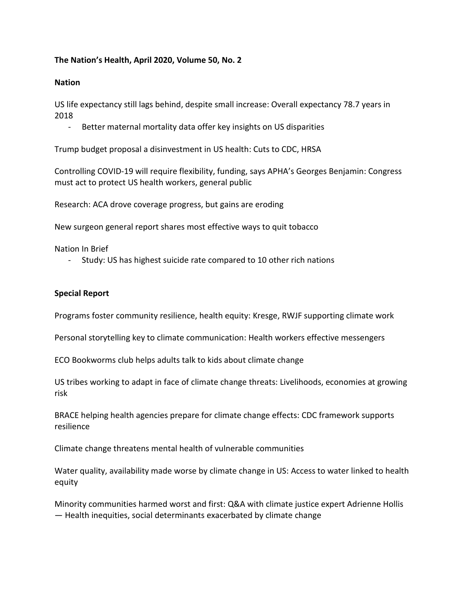## **The Nation's Health, April 2020, Volume 50, No. 2**

## **Nation**

US life expectancy still lags behind, despite small increase: Overall expectancy 78.7 years in 2018

Better maternal mortality data offer key insights on US disparities

Trump budget proposal a disinvestment in US health: Cuts to CDC, HRSA

Controlling COVID-19 will require flexibility, funding, says APHA's Georges Benjamin: Congress must act to protect US health workers, general public

Research: ACA drove coverage progress, but gains are eroding

New surgeon general report shares most effective ways to quit tobacco

Nation In Brief

- Study: US has highest suicide rate compared to 10 other rich nations

## **Special Report**

Programs foster community resilience, health equity: Kresge, RWJF supporting climate work

Personal storytelling key to climate communication: Health workers effective messengers

ECO Bookworms club helps adults talk to kids about climate change

US tribes working to adapt in face of climate change threats: Livelihoods, economies at growing risk

BRACE helping health agencies prepare for climate change effects: CDC framework supports resilience

Climate change threatens mental health of vulnerable communities

Water quality, availability made worse by climate change in US: Access to water linked to health equity

Minority communities harmed worst and first: Q&A with climate justice expert Adrienne Hollis — Health inequities, social determinants exacerbated by climate change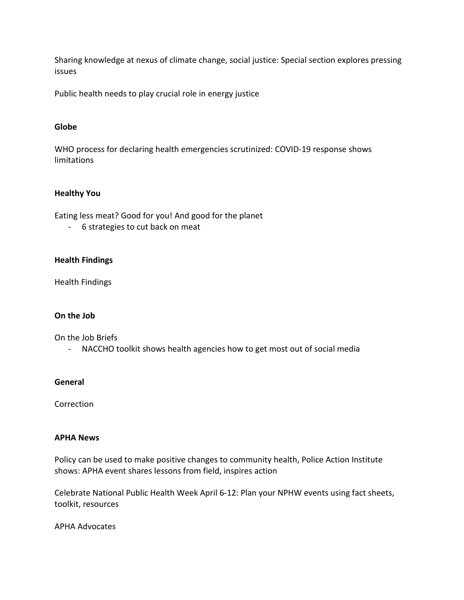Sharing knowledge at nexus of climate change, social justice: Special section explores pressing issues

Public health needs to play crucial role in energy justice

## **Globe**

WHO process for declaring health emergencies scrutinized: COVID-19 response shows limitations

## **Healthy You**

Eating less meat? Good for you! And good for the planet

- 6 strategies to cut back on meat

## **Health Findings**

Health Findings

## **On the Job**

On the Job Briefs

- NACCHO toolkit shows health agencies how to get most out of social media

#### **General**

Correction

#### **APHA News**

Policy can be used to make positive changes to community health, Police Action Institute shows: APHA event shares lessons from field, inspires action

Celebrate National Public Health Week April 6-12: Plan your NPHW events using fact sheets, toolkit, resources

APHA Advocates